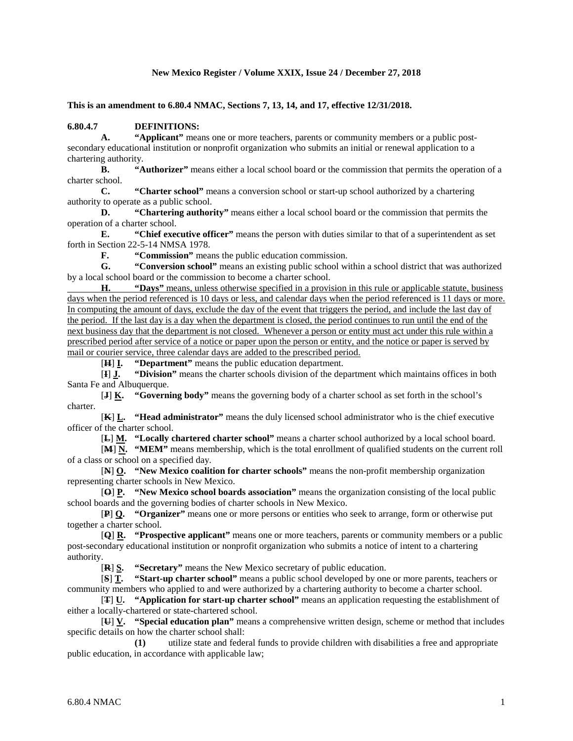#### **New Mexico Register / Volume XXIX, Issue 24 / December 27, 2018**

**This is an amendment to 6.80.4 NMAC, Sections 7, 13, 14, and 17, effective 12/31/2018.**

# **6.80.4.7 DEFINITIONS:**

**A. "Applicant"** means one or more teachers, parents or community members or a public postsecondary educational institution or nonprofit organization who submits an initial or renewal application to a chartering authority.

**B. "Authorizer"** means either a local school board or the commission that permits the operation of a charter school.

**C. "Charter school"** means a conversion school or start-up school authorized by a chartering authority to operate as a public school.

**D. "Chartering authority"** means either a local school board or the commission that permits the operation of a charter school.

**E. "Chief executive officer"** means the person with duties similar to that of a superintendent as set forth in Section 22-5-14 NMSA 1978.

**F. "Commission"** means the public education commission.

**G. "Conversion school"** means an existing public school within a school district that was authorized by a local school board or the commission to become a charter school.

**H. "Days"** means, unless otherwise specified in a provision in this rule or applicable statute, business days when the period referenced is 10 days or less, and calendar days when the period referenced is 11 days or more. In computing the amount of days, exclude the day of the event that triggers the period, and include the last day of the period. If the last day is a day when the department is closed, the period continues to run until the end of the next business day that the department is not closed. Whenever a person or entity must act under this rule within a prescribed period after service of a notice or paper upon the person or entity, and the notice or paper is served by mail or courier service, three calendar days are added to the prescribed period.

[**H**] **I. "Department"** means the public education department.

[**I**] **J. "Division"** means the charter schools division of the department which maintains offices in both Santa Fe and Albuquerque.

[**J**] **K. "Governing body"** means the governing body of a charter school as set forth in the school's charter.

[**K**] **L. "Head administrator"** means the duly licensed school administrator who is the chief executive officer of the charter school.

[**L**] **M. "Locally chartered charter school"** means a charter school authorized by a local school board.

[**M**] **N. "MEM"** means membership, which is the total enrollment of qualified students on the current roll of a class or school on a specified day.

[**N**] **O. "New Mexico coalition for charter schools"** means the non-profit membership organization representing charter schools in New Mexico.

[**O**] **P. "New Mexico school boards association"** means the organization consisting of the local public school boards and the governing bodies of charter schools in New Mexico.

[**P**] **Q. "Organizer"** means one or more persons or entities who seek to arrange, form or otherwise put together a charter school.

[**Q**] **R. "Prospective applicant"** means one or more teachers, parents or community members or a public post-secondary educational institution or nonprofit organization who submits a notice of intent to a chartering authority.

[**R**] **S. "Secretary"** means the New Mexico secretary of public education.

[**S**] **T. "Start-up charter school"** means a public school developed by one or more parents, teachers or community members who applied to and were authorized by a chartering authority to become a charter school.

[**T**] **U. "Application for start-up charter school"** means an application requesting the establishment of either a locally-chartered or state-chartered school.

[**U**] **V. "Special education plan"** means a comprehensive written design, scheme or method that includes specific details on how the charter school shall:

**(1)** utilize state and federal funds to provide children with disabilities a free and appropriate public education, in accordance with applicable law;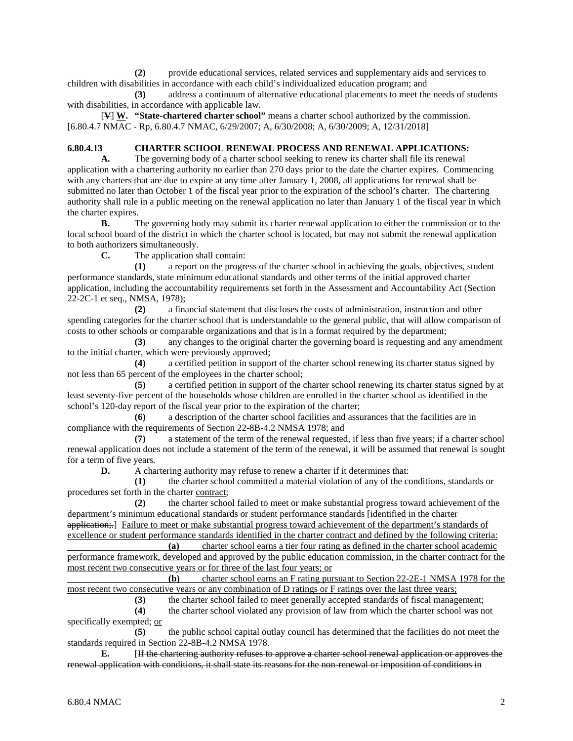**(2)** provide educational services, related services and supplementary aids and services to children with disabilities in accordance with each child's individualized education program; and

**(3)** address a continuum of alternative educational placements to meet the needs of students with disabilities, in accordance with applicable law.

[**V**] **W. "State-chartered charter school"** means a charter school authorized by the commission. [6.80.4.7 NMAC - Rp, 6.80.4.7 NMAC, 6/29/2007; A, 6/30/2008; A, 6/30/2009; A, 12/31/2018]

# **6.80.4.13 CHARTER SCHOOL RENEWAL PROCESS AND RENEWAL APPLICATIONS:**

**A.** The governing body of a charter school seeking to renew its charter shall file its renewal application with a chartering authority no earlier than 270 days prior to the date the charter expires. Commencing with any charters that are due to expire at any time after January 1, 2008, all applications for renewal shall be submitted no later than October 1 of the fiscal year prior to the expiration of the school's charter. The chartering authority shall rule in a public meeting on the renewal application no later than January 1 of the fiscal year in which the charter expires.

**B.** The governing body may submit its charter renewal application to either the commission or to the local school board of the district in which the charter school is located, but may not submit the renewal application to both authorizers simultaneously.

**C.** The application shall contain:

**(1)** a report on the progress of the charter school in achieving the goals, objectives, student performance standards, state minimum educational standards and other terms of the initial approved charter application, including the accountability requirements set forth in the Assessment and Accountability Act (Section 22-2C-1 et seq., NMSA, 1978);

**(2)** a financial statement that discloses the costs of administration, instruction and other spending categories for the charter school that is understandable to the general public, that will allow comparison of costs to other schools or comparable organizations and that is in a format required by the department;

**(3)** any changes to the original charter the governing board is requesting and any amendment to the initial charter, which were previously approved;

**(4)** a certified petition in support of the charter school renewing its charter status signed by not less than 65 percent of the employees in the charter school;

**(5)** a certified petition in support of the charter school renewing its charter status signed by at least seventy-five percent of the households whose children are enrolled in the charter school as identified in the school's 120-day report of the fiscal year prior to the expiration of the charter;

**(6)** a description of the charter school facilities and assurances that the facilities are in compliance with the requirements of Section 22-8B-4.2 NMSA 1978; and

**(7)** a statement of the term of the renewal requested, if less than five years; if a charter school renewal application does not include a statement of the term of the renewal, it will be assumed that renewal is sought for a term of five years.

**D.** A chartering authority may refuse to renew a charter if it determines that:

**(1)** the charter school committed a material violation of any of the conditions, standards or procedures set forth in the charter contract;

**(2)** the charter school failed to meet or make substantial progress toward achievement of the department's minimum educational standards or student performance standards [identified in the charter application;.] Failure to meet or make substantial progress toward achievement of the department's standards of

excellence or student performance standards identified in the charter contract and defined by the following criteria: **(a)** charter school earns a tier four rating as defined in the charter school academic performance framework, developed and approved by the public education commission, in the charter contract for the most recent two consecutive years or for three of the last four years; or

**(b)** charter school earns an F rating pursuant to Section 22-2E-1 NMSA 1978 for the most recent two consecutive years or any combination of D ratings or F ratings over the last three years;

**(3)** the charter school failed to meet generally accepted standards of fiscal management;

**(4)** the charter school violated any provision of law from which the charter school was not specifically exempted; or

**(5)** the public school capital outlay council has determined that the facilities do not meet the standards required in Section 22-8B-4.2 NMSA 1978.

**E.** [If the chartering authority refuses to approve a charter school renewal application or approves the renewal application with conditions, it shall state its reasons for the non-renewal or imposition of conditions in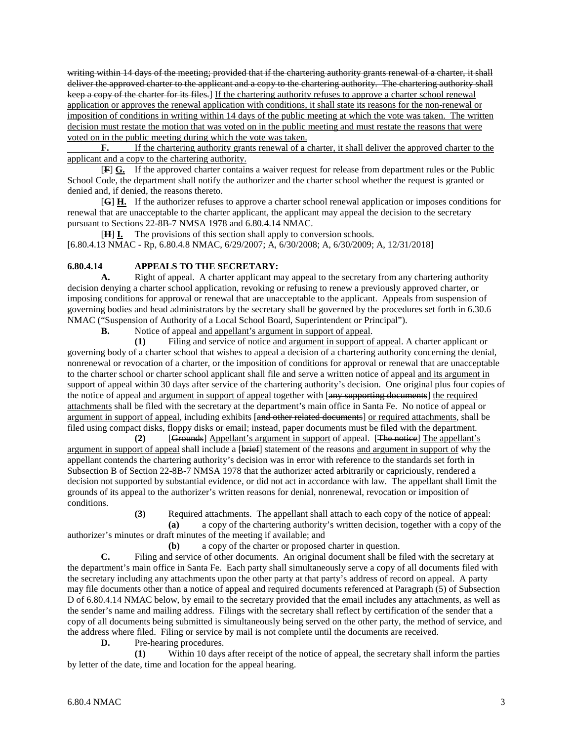writing within 14 days of the meeting; provided that if the chartering authority grants renewal of a charter, it shall deliver the approved charter to the applicant and a copy to the chartering authority. The chartering authority shall keep a copy of the charter for its files.] If the chartering authority refuses to approve a charter school renewal application or approves the renewal application with conditions, it shall state its reasons for the non-renewal or imposition of conditions in writing within 14 days of the public meeting at which the vote was taken. The written decision must restate the motion that was voted on in the public meeting and must restate the reasons that were voted on in the public meeting during which the vote was taken.

**F.** If the chartering authority grants renewal of a charter, it shall deliver the approved charter to the applicant and a copy to the chartering authority.

[**F**] **G.** If the approved charter contains a waiver request for release from department rules or the Public School Code, the department shall notify the authorizer and the charter school whether the request is granted or denied and, if denied, the reasons thereto.

[**G**] **H.** If the authorizer refuses to approve a charter school renewal application or imposes conditions for renewal that are unacceptable to the charter applicant, the applicant may appeal the decision to the secretary pursuant to Sections 22-8B-7 NMSA 1978 and 6.80.4.14 NMAC.

[**H**] **I.** The provisions of this section shall apply to conversion schools. [6.80.4.13 NMAC - Rp, 6.80.4.8 NMAC, 6/29/2007; A, 6/30/2008; A, 6/30/2009; A, 12/31/2018]

#### **6.80.4.14 APPEALS TO THE SECRETARY:**

**A.** Right of appeal. A charter applicant may appeal to the secretary from any chartering authority decision denying a charter school application, revoking or refusing to renew a previously approved charter, or imposing conditions for approval or renewal that are unacceptable to the applicant. Appeals from suspension of governing bodies and head administrators by the secretary shall be governed by the procedures set forth in 6.30.6 NMAC ("Suspension of Authority of a Local School Board, Superintendent or Principal").

**B.** Notice of appeal and appellant's argument in support of appeal.

**(1)** Filing and service of notice and argument in support of appeal. A charter applicant or governing body of a charter school that wishes to appeal a decision of a chartering authority concerning the denial, nonrenewal or revocation of a charter, or the imposition of conditions for approval or renewal that are unacceptable to the charter school or charter school applicant shall file and serve a written notice of appeal and its argument in support of appeal within 30 days after service of the chartering authority's decision. One original plus four copies of the notice of appeal and argument in support of appeal together with [any supporting documents] the required attachments shall be filed with the secretary at the department's main office in Santa Fe. No notice of appeal or argument in support of appeal, including exhibits [and other related documents] or required attachments, shall be filed using compact disks, floppy disks or email; instead, paper documents must be filed with the department.

**(2)** [Grounds] Appellant's argument in support of appeal. [The notice] The appellant's argument in support of appeal shall include a [brief] statement of the reasons and argument in support of why the appellant contends the chartering authority's decision was in error with reference to the standards set forth in Subsection B of Section 22-8B-7 NMSA 1978 that the authorizer acted arbitrarily or capriciously, rendered a decision not supported by substantial evidence, or did not act in accordance with law. The appellant shall limit the grounds of its appeal to the authorizer's written reasons for denial, nonrenewal, revocation or imposition of conditions.

> **(3)** Required attachments. The appellant shall attach to each copy of the notice of appeal: **(a)** a copy of the chartering authority's written decision, together with a copy of the

authorizer's minutes or draft minutes of the meeting if available; and

**(b)** a copy of the charter or proposed charter in question.

**C.** Filing and service of other documents. An original document shall be filed with the secretary at the department's main office in Santa Fe. Each party shall simultaneously serve a copy of all documents filed with the secretary including any attachments upon the other party at that party's address of record on appeal. A party may file documents other than a notice of appeal and required documents referenced at Paragraph (5) of Subsection D of 6.80.4.14 NMAC below, by email to the secretary provided that the email includes any attachments, as well as the sender's name and mailing address. Filings with the secretary shall reflect by certification of the sender that a copy of all documents being submitted is simultaneously being served on the other party, the method of service, and the address where filed. Filing or service by mail is not complete until the documents are received.

**D.** Pre-hearing procedures.

**(1)** Within 10 days after receipt of the notice of appeal, the secretary shall inform the parties by letter of the date, time and location for the appeal hearing.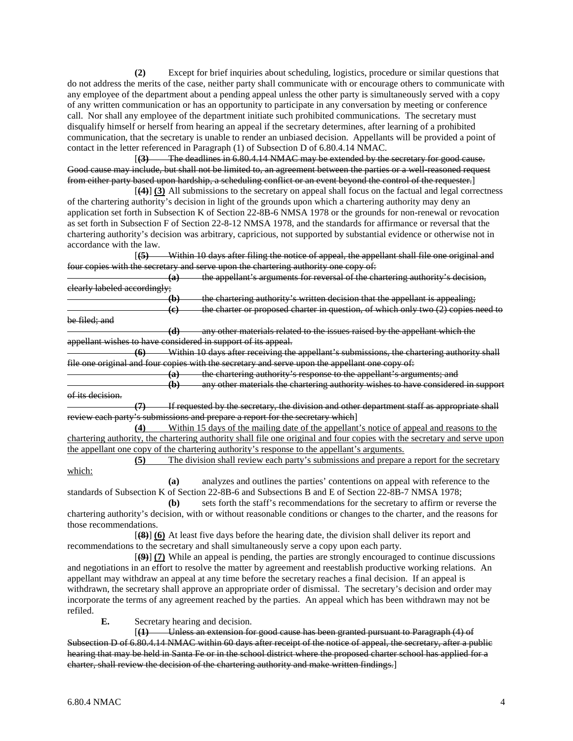**(2)** Except for brief inquiries about scheduling, logistics, procedure or similar questions that do not address the merits of the case, neither party shall communicate with or encourage others to communicate with any employee of the department about a pending appeal unless the other party is simultaneously served with a copy of any written communication or has an opportunity to participate in any conversation by meeting or conference call. Nor shall any employee of the department initiate such prohibited communications. The secretary must disqualify himself or herself from hearing an appeal if the secretary determines, after learning of a prohibited communication, that the secretary is unable to render an unbiased decision. Appellants will be provided a point of contact in the letter referenced in Paragraph (1) of Subsection D of 6.80.4.14 NMAC.

[**(3)** The deadlines in 6.80.4.14 NMAC may be extended by the secretary for good cause. Good cause may include, but shall not be limited to, an agreement between the parties or a well-reasoned request from either party based upon hardship, a scheduling conflict or an event beyond the control of the requester.]

[**(4)**] **(3)** All submissions to the secretary on appeal shall focus on the factual and legal correctness of the chartering authority's decision in light of the grounds upon which a chartering authority may deny an application set forth in Subsection K of Section 22-8B-6 NMSA 1978 or the grounds for non-renewal or revocation as set forth in Subsection F of Section 22-8-12 NMSA 1978, and the standards for affirmance or reversal that the chartering authority's decision was arbitrary, capricious, not supported by substantial evidence or otherwise not in accordance with the law.

[**(5)** Within 10 days after filing the notice of appeal, the appellant shall file one original and four copies with the secretary and serve upon the chartering authority one copy of:

**(a)** the appellant's arguments for reversal of the chartering authority's decision, clearly labeled accordingly;

**(b)** the chartering authority's written decision that the appellant is appealing; **(c)** the charter or proposed charter in question, of which only two (2) copies need to be filed; and

**(d)** any other materials related to the issues raised by the appellant which the appellant wishes to have considered in support of its appeal.

**(6)** Within 10 days after receiving the appellant's submissions, the chartering authority shall file one original and four copies with the secretary and serve upon the appellant one copy of:

**(a)** the chartering authority's response to the appellant's arguments; and

**(b)** any other materials the chartering authority wishes to have considered in support of its decision.

**(7)** If requested by the secretary, the division and other department staff as appropriate shall review each party's submissions and prepare a report for the secretary which]

**(4)** Within 15 days of the mailing date of the appellant's notice of appeal and reasons to the chartering authority, the chartering authority shall file one original and four copies with the secretary and serve upon the appellant one copy of the chartering authority's response to the appellant's arguments.

**(5)** The division shall review each party's submissions and prepare a report for the secretary which:

**(a)** analyzes and outlines the parties' contentions on appeal with reference to the standards of Subsection K of Section 22-8B-6 and Subsections B and E of Section 22-8B-7 NMSA 1978;

**(b)** sets forth the staff's recommendations for the secretary to affirm or reverse the chartering authority's decision, with or without reasonable conditions or changes to the charter, and the reasons for those recommendations.

[**(8)**] **(6)** At least five days before the hearing date, the division shall deliver its report and recommendations to the secretary and shall simultaneously serve a copy upon each party.

[**(9)**] **(7)** While an appeal is pending, the parties are strongly encouraged to continue discussions and negotiations in an effort to resolve the matter by agreement and reestablish productive working relations. An appellant may withdraw an appeal at any time before the secretary reaches a final decision. If an appeal is withdrawn, the secretary shall approve an appropriate order of dismissal. The secretary's decision and order may incorporate the terms of any agreement reached by the parties. An appeal which has been withdrawn may not be refiled.

**E.** Secretary hearing and decision.

[**(1)** Unless an extension for good cause has been granted pursuant to Paragraph (4) of Subsection D of 6.80.4.14 NMAC within 60 days after receipt of the notice of appeal, the secretary, after a public hearing that may be held in Santa Fe or in the school district where the proposed charter school has applied for a charter, shall review the decision of the chartering authority and make written findings.]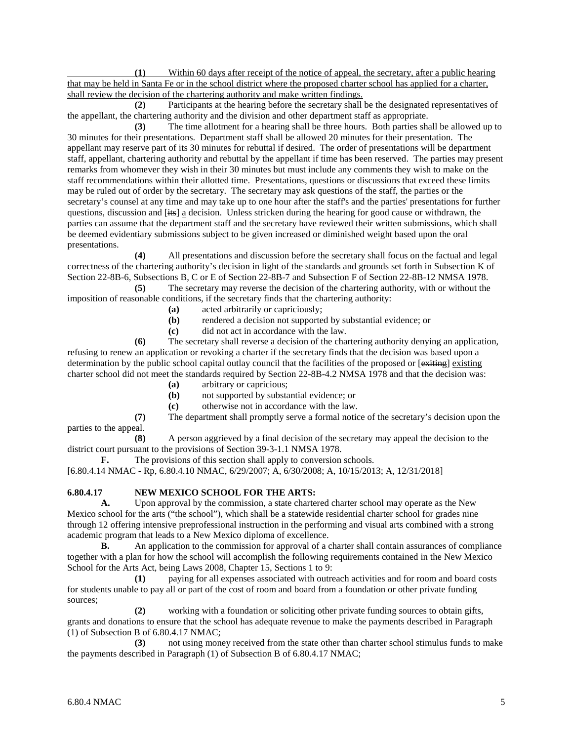**(1)** Within 60 days after receipt of the notice of appeal, the secretary, after a public hearing that may be held in Santa Fe or in the school district where the proposed charter school has applied for a charter, shall review the decision of the chartering authority and make written findings.

**(2)** Participants at the hearing before the secretary shall be the designated representatives of the appellant, the chartering authority and the division and other department staff as appropriate.

**(3)** The time allotment for a hearing shall be three hours. Both parties shall be allowed up to 30 minutes for their presentations. Department staff shall be allowed 20 minutes for their presentation. The appellant may reserve part of its 30 minutes for rebuttal if desired. The order of presentations will be department staff, appellant, chartering authority and rebuttal by the appellant if time has been reserved. The parties may present remarks from whomever they wish in their 30 minutes but must include any comments they wish to make on the staff recommendations within their allotted time. Presentations, questions or discussions that exceed these limits may be ruled out of order by the secretary. The secretary may ask questions of the staff, the parties or the secretary's counsel at any time and may take up to one hour after the staff's and the parties' presentations for further questions, discussion and [its] a decision. Unless stricken during the hearing for good cause or withdrawn, the parties can assume that the department staff and the secretary have reviewed their written submissions, which shall be deemed evidentiary submissions subject to be given increased or diminished weight based upon the oral presentations.

**(4)** All presentations and discussion before the secretary shall focus on the factual and legal correctness of the chartering authority's decision in light of the standards and grounds set forth in Subsection K of Section 22-8B-6, Subsections B, C or E of Section 22-8B-7 and Subsection F of Section 22-8B-12 NMSA 1978.

**(5)** The secretary may reverse the decision of the chartering authority, with or without the imposition of reasonable conditions, if the secretary finds that the chartering authority:

- **(a)** acted arbitrarily or capriciously;
- **(b)** rendered a decision not supported by substantial evidence; or
- **(c)** did not act in accordance with the law.

**(6)** The secretary shall reverse a decision of the chartering authority denying an application, refusing to renew an application or revoking a charter if the secretary finds that the decision was based upon a determination by the public school capital outlay council that the facilities of the proposed or [exiting] existing charter school did not meet the standards required by Section 22-8B-4.2 NMSA 1978 and that the decision was:

- **(a)** arbitrary or capricious;
- **(b)** not supported by substantial evidence; or **(c)** otherwise not in accordance with the law.
- **(c)** otherwise not in accordance with the law.

**(7)** The department shall promptly serve a formal notice of the secretary's decision upon the parties to the appeal.

**(8)** A person aggrieved by a final decision of the secretary may appeal the decision to the district court pursuant to the provisions of Section 39-3-1.1 NMSA 1978.

**F.** The provisions of this section shall apply to conversion schools.

[6.80.4.14 NMAC - Rp, 6.80.4.10 NMAC, 6/29/2007; A, 6/30/2008; A, 10/15/2013; A, 12/31/2018]

# **6.80.4.17 NEW MEXICO SCHOOL FOR THE ARTS:**

**A.** Upon approval by the commission, a state chartered charter school may operate as the New Mexico school for the arts ("the school"), which shall be a statewide residential charter school for grades nine through 12 offering intensive preprofessional instruction in the performing and visual arts combined with a strong academic program that leads to a New Mexico diploma of excellence.

**B.** An application to the commission for approval of a charter shall contain assurances of compliance together with a plan for how the school will accomplish the following requirements contained in the New Mexico School for the Arts Act, being Laws 2008, Chapter 15, Sections 1 to 9:

**(1)** paying for all expenses associated with outreach activities and for room and board costs for students unable to pay all or part of the cost of room and board from a foundation or other private funding sources;

**(2)** working with a foundation or soliciting other private funding sources to obtain gifts, grants and donations to ensure that the school has adequate revenue to make the payments described in Paragraph (1) of Subsection B of 6.80.4.17 NMAC;

**(3)** not using money received from the state other than charter school stimulus funds to make the payments described in Paragraph (1) of Subsection B of 6.80.4.17 NMAC;